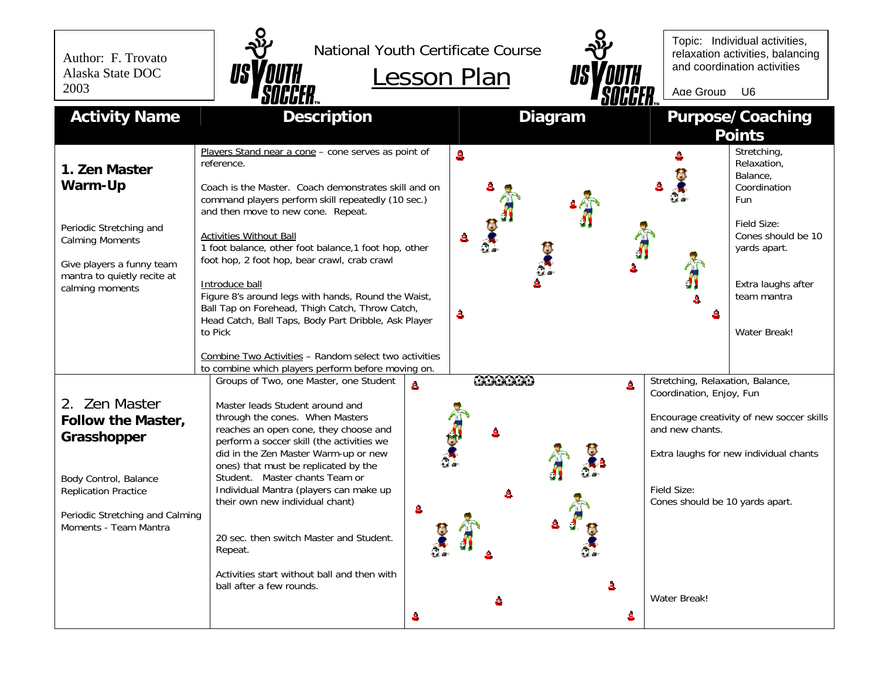Author: F. Trovato Alaska State DOC 2003



National Youth Certificate Course





Topic: Individual activities, relaxation activities, balancing and coordination activities

Age Group U6

| <b>Activity Name</b>                                                                                                                                                          | <b>Description</b>                                                                                                                                                                                                                                                                                                                                                                                                                                                                                                                                              | <b>Diagram</b>                 | <b>Purpose/Coaching</b><br><b>Points</b>                                                                                                                                                                                 |
|-------------------------------------------------------------------------------------------------------------------------------------------------------------------------------|-----------------------------------------------------------------------------------------------------------------------------------------------------------------------------------------------------------------------------------------------------------------------------------------------------------------------------------------------------------------------------------------------------------------------------------------------------------------------------------------------------------------------------------------------------------------|--------------------------------|--------------------------------------------------------------------------------------------------------------------------------------------------------------------------------------------------------------------------|
| 1. Zen Master<br>Warm-Up<br>Periodic Stretching and<br><b>Calming Moments</b><br>Give players a funny team<br>mantra to quietly recite at<br>calming moments                  | Players Stand near a cone - cone serves as point of<br>reference.<br>Coach is the Master. Coach demonstrates skill and on<br>command players perform skill repeatedly (10 sec.)<br>and then move to new cone. Repeat.<br><b>Activities Without Ball</b><br>1 foot balance, other foot balance, 1 foot hop, other<br>foot hop, 2 foot hop, bear crawl, crab crawl<br>Introduce ball<br>Figure 8's around legs with hands, Round the Waist,<br>Ball Tap on Forehead, Thigh Catch, Throw Catch,<br>Head Catch, Ball Taps, Body Part Dribble, Ask Player<br>to Pick | å.<br>å.                       | Stretching,<br>Relaxation,<br>Balance,<br>Coordination<br><b>Fun</b><br>Field Size:<br>Cones should be 10<br>yards apart.<br>Extra laughs after<br>team mantra<br>a<br><b>Water Break!</b>                               |
|                                                                                                                                                                               | Combine Two Activities - Random select two activities<br>to combine which players perform before moving on.                                                                                                                                                                                                                                                                                                                                                                                                                                                     |                                |                                                                                                                                                                                                                          |
| 2. Zen Master<br><b>Follow the Master,</b><br>Grasshopper<br>Body Control, Balance<br><b>Replication Practice</b><br>Periodic Stretching and Calming<br>Moments - Team Mantra | Groups of Two, one Master, one Student<br>å.<br>Master leads Student around and<br>through the cones. When Masters<br>reaches an open cone, they choose and<br>perform a soccer skill (the activities we<br>did in the Zen Master Warm-up or new<br>ones) that must be replicated by the<br>Student. Master chants Team or<br>Individual Mantra (players can make up<br>their own new individual chant)<br>a.<br>20 sec. then switch Master and Student.<br>Repeat.                                                                                             | <b>CARROLLO</b><br>å<br>å<br>A | Stretching, Relaxation, Balance,<br>Coordination, Enjoy, Fun<br>Encourage creativity of new soccer skills<br>and new chants.<br>Extra laughs for new individual chants<br>Field Size:<br>Cones should be 10 yards apart. |
|                                                                                                                                                                               | Activities start without ball and then with<br>ball after a few rounds.<br>å                                                                                                                                                                                                                                                                                                                                                                                                                                                                                    | å                              | Water Break!                                                                                                                                                                                                             |